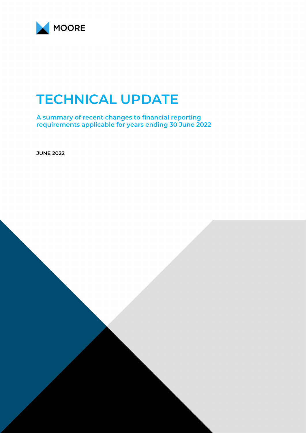

# **TECHNICAL UPDATE**

**A summary of recent changes to financial reporting requirements applicable for years ending 30 June 2022**

**JUNE 2022**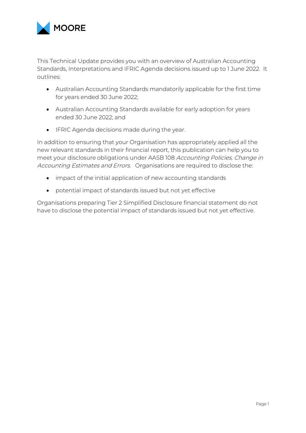

This Technical Update provides you with an overview of Australian Accounting Standards, Interpretations and IFRIC Agenda decisions issued up to 1 June 2022. It outlines:

- Australian Accounting Standards mandatorily applicable for the first time for years ended 30 June 2022;
- Australian Accounting Standards available for early adoption for years ended 30 June 2022; and
- IFRIC Agenda decisions made during the year.

In addition to ensuring that your Organisation has appropriately applied all the new relevant standards in their financial report, this publication can help you to meet your disclosure obligations under AASB 108 Accounting Policies, Change in Accounting Estimates and Errors. Organisations are required to disclose the:

- impact of the initial application of new accounting standards
- potential impact of standards issued but not yet effective

Organisations preparing Tier 2 Simplified Disclosure financial statement do not have to disclose the potential impact of standards issued but not yet effective.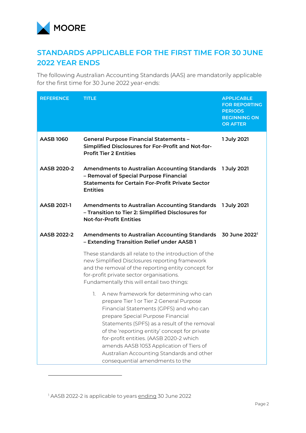

# **STANDARDS APPLICABLE FOR THE FIRST TIME FOR 30 JUNE 2022 YEAR ENDS**

The following Australian Accounting Standards (AAS) are mandatorily applicable for the first time for 30 June 2022 year-ends:

| <b>REFERENCE</b> | <b>TITLE</b>                                                                                                                                                                                                                                                                                                                                                                                                                                   | <b>APPLICABLE</b><br><b>FOR REPORTING</b><br><b>PERIODS</b><br><b>BEGINNING ON</b><br><b>OR AFTER</b> |
|------------------|------------------------------------------------------------------------------------------------------------------------------------------------------------------------------------------------------------------------------------------------------------------------------------------------------------------------------------------------------------------------------------------------------------------------------------------------|-------------------------------------------------------------------------------------------------------|
| <b>AASB 1060</b> | <b>General Purpose Financial Statements -</b><br>Simplified Disclosures for For-Profit and Not-for-<br><b>Profit Tier 2 Entities</b>                                                                                                                                                                                                                                                                                                           | 1 July 2021                                                                                           |
| AASB 2020-2      | Amendments to Australian Accounting Standards 1 July 2021<br>- Removal of Special Purpose Financial<br><b>Statements for Certain For-Profit Private Sector</b><br><b>Entities</b>                                                                                                                                                                                                                                                              |                                                                                                       |
| AASB 2021-1      | <b>Amendments to Australian Accounting Standards</b><br>- Transition to Tier 2: Simplified Disclosures for<br><b>Not-for-Profit Entities</b>                                                                                                                                                                                                                                                                                                   | 1 July 2021                                                                                           |
| AASB 2022-2      | Amendments to Australian Accounting Standards 30 June 2022 <sup>1</sup><br>- Extending Transition Relief under AASB 1                                                                                                                                                                                                                                                                                                                          |                                                                                                       |
|                  | These standards all relate to the introduction of the<br>new Simplified Disclosures reporting framework<br>and the removal of the reporting entity concept for<br>for-profit private sector organisations.<br>Fundamentally this will entail two things:                                                                                                                                                                                       |                                                                                                       |
|                  | 1. A new framework for determining who can<br>prepare Tier 1 or Tier 2 General Purpose<br>Financial Statements (GPFS) and who can<br>prepare Special Purpose Financial<br>Statements (SPFS) as a result of the removal<br>of the 'reporting entity' concept for private<br>for-profit entities. (AASB 2020-2 which<br>amends AASB 1053 Application of Tiers of<br>Australian Accounting Standards and other<br>consequential amendments to the |                                                                                                       |

<span id="page-2-0"></span><sup>&</sup>lt;sup>1</sup> AASB 2022-2 is applicable to years ending 30 June 2022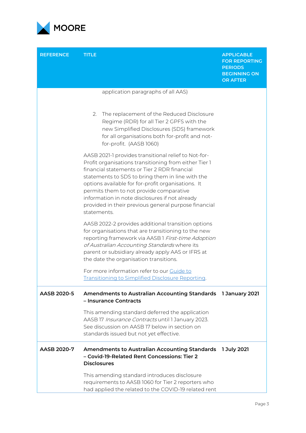

| <b>REFERENCE</b> | <b>TITLE</b>                                                                                                                                                                                                                                                                                                                                                                                                                                | <b>APPLICABLE</b><br><b>FOR REPORTING</b><br><b>PERIODS</b><br><b>BEGINNING ON</b><br><b>OR AFTER</b> |
|------------------|---------------------------------------------------------------------------------------------------------------------------------------------------------------------------------------------------------------------------------------------------------------------------------------------------------------------------------------------------------------------------------------------------------------------------------------------|-------------------------------------------------------------------------------------------------------|
|                  | application paragraphs of all AAS)<br>The replacement of the Reduced Disclosure<br>2.                                                                                                                                                                                                                                                                                                                                                       |                                                                                                       |
|                  | Regime (RDR) for all Tier 2 GPFS with the<br>new Simplified Disclosures (SDS) framework<br>for all organisations both for-profit and not-<br>for-profit. (AASB 1060)                                                                                                                                                                                                                                                                        |                                                                                                       |
|                  | AASB 2021-1 provides transitional relief to Not-for-<br>Profit organisations transitioning from either Tier 1<br>financial statements or Tier 2 RDR financial<br>statements to SDS to bring them in line with the<br>options available for for-profit organisations. It<br>permits them to not provide comparative<br>information in note disclosures if not already<br>provided in their previous general purpose financial<br>statements. |                                                                                                       |
|                  | AASB 2022-2 provides additional transition options<br>for organisations that are transitioning to the new<br>reporting framework via AASB1 First-time Adoption<br>of Australian Accounting Standards where its<br>parent or subsidiary already apply AAS or IFRS at<br>the date the organisation transitions.                                                                                                                               |                                                                                                       |
|                  | For more information refer to our Guide to<br>Transitioning to Simplified Disclosure Reporting.                                                                                                                                                                                                                                                                                                                                             |                                                                                                       |
| AASB 2020-5      | <b>Amendments to Australian Accounting Standards</b><br>- Insurance Contracts                                                                                                                                                                                                                                                                                                                                                               | 1 January 2021                                                                                        |
|                  | This amending standard deferred the application<br>AASB 17 Insurance Contracts until 1 January 2023.<br>See discussion on AASB 17 below in section on<br>standards issued but not yet effective.                                                                                                                                                                                                                                            |                                                                                                       |
| AASB 2020-7      | <b>Amendments to Australian Accounting Standards</b><br>- Covid-19-Related Rent Concessions: Tier 2<br><b>Disclosures</b>                                                                                                                                                                                                                                                                                                                   | 1 July 2021                                                                                           |
|                  | This amending standard introduces disclosure<br>requirements to AASB 1060 for Tier 2 reporters who<br>had applied the related to the COVID-19 related rent                                                                                                                                                                                                                                                                                  |                                                                                                       |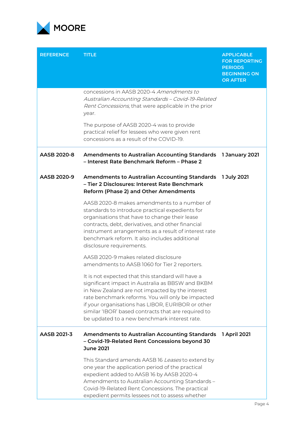

| <b>REFERENCE</b> | <b>TITLE</b>                                                                                                                                                                                                                                                                                                                                                              | <b>APPLICABLE</b><br><b>FOR REPORTING</b><br><b>PERIODS</b><br><b>BEGINNING ON</b><br><b>OR AFTER</b> |
|------------------|---------------------------------------------------------------------------------------------------------------------------------------------------------------------------------------------------------------------------------------------------------------------------------------------------------------------------------------------------------------------------|-------------------------------------------------------------------------------------------------------|
|                  | concessions in AASB 2020-4 Amendments to<br>Australian Accounting Standards - Covid-19-Related<br>Rent Concessions, that were applicable in the prior<br>year.                                                                                                                                                                                                            |                                                                                                       |
|                  | The purpose of AASB 2020-4 was to provide<br>practical relief for lessees who were given rent<br>concessions as a result of the COVID-19.                                                                                                                                                                                                                                 |                                                                                                       |
| AASB 2020-8      | Amendments to Australian Accounting Standards 1 January 2021<br>- Interest Rate Benchmark Reform - Phase 2                                                                                                                                                                                                                                                                |                                                                                                       |
| AASB 2020-9      | Amendments to Australian Accounting Standards 1 July 2021<br>- Tier 2 Disclosures: Interest Rate Benchmark<br>Reform (Phase 2) and Other Amendments                                                                                                                                                                                                                       |                                                                                                       |
|                  | AASB 2020-8 makes amendments to a number of<br>standards to introduce practical expedients for<br>organisations that have to change their lease<br>contracts, debt, derivatives, and other financial<br>instrument arrangements as a result of interest rate<br>benchmark reform. It also includes additional<br>disclosure requirements.                                 |                                                                                                       |
|                  | AASB 2020-9 makes related disclosure<br>amendments to AASB 1060 for Tier 2 reporters.                                                                                                                                                                                                                                                                                     |                                                                                                       |
|                  | It is not expected that this standard will have a<br>significant impact in Australia as BBSW and BKBM<br>in New Zealand are not impacted by the interest<br>rate benchmark reforms. You will only be impacted<br>if your organisations has LIBOR, EURIBOR or other<br>similar 'IBOR' based contracts that are required to<br>be updated to a new benchmark interest rate. |                                                                                                       |
| AASB 2021-3      | <b>Amendments to Australian Accounting Standards</b><br>- Covid-19-Related Rent Concessions beyond 30<br><b>June 2021</b>                                                                                                                                                                                                                                                 | 1 April 2021                                                                                          |
|                  | This Standard amends AASB 16 Leases to extend by<br>one year the application period of the practical<br>expedient added to AASB 16 by AASB 2020-4<br>Amendments to Australian Accounting Standards -<br>Covid-19-Related Rent Concessions. The practical<br>expedient permits lessees not to assess whether                                                               |                                                                                                       |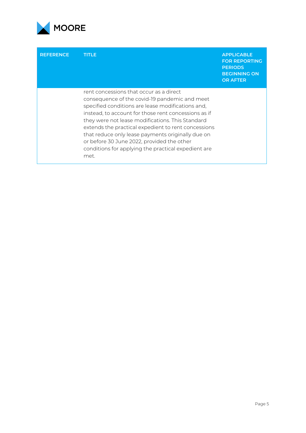

| <b>REFERENCE</b> | <b>TITLE</b>                                                                                                                                                                                                                                                                                                                                                                                                                                                                       | <b>APPLICABLE</b><br><b>FOR REPORTING</b><br><b>PERIODS</b><br><b>BEGINNING ON</b><br><b>OR AFTER</b> |
|------------------|------------------------------------------------------------------------------------------------------------------------------------------------------------------------------------------------------------------------------------------------------------------------------------------------------------------------------------------------------------------------------------------------------------------------------------------------------------------------------------|-------------------------------------------------------------------------------------------------------|
|                  | rent concessions that occur as a direct<br>consequence of the covid-19 pandemic and meet<br>specified conditions are lease modifications and,<br>instead, to account for those rent concessions as if<br>they were not lease modifications. This Standard<br>extends the practical expedient to rent concessions<br>that reduce only lease payments originally due on<br>or before 30 June 2022, provided the other<br>conditions for applying the practical expedient are<br>met. |                                                                                                       |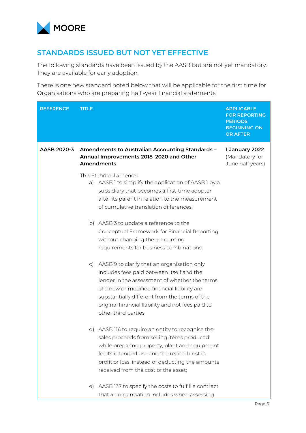

## **STANDARDS ISSUED BUT NOT YET EFFECTIVE**

The following standards have been issued by the AASB but are not yet mandatory. They are available for early adoption.

There is one new standard noted below that will be applicable for the first time for Organisations who are preparing half -year financial statements.

| <b>REFERENCE</b> | <b>TITLE</b>                                                                                                                                                                                                                                                                                                               | <b>APPLICABLE</b><br><b>FOR REPORTING</b><br><b>PERIODS</b><br><b>BEGINNING ON</b><br><b>OR AFTER</b> |
|------------------|----------------------------------------------------------------------------------------------------------------------------------------------------------------------------------------------------------------------------------------------------------------------------------------------------------------------------|-------------------------------------------------------------------------------------------------------|
| AASB 2020-3      | Amendments to Australian Accounting Standards -<br>Annual Improvements 2018-2020 and Other<br>Amendments                                                                                                                                                                                                                   | 1 January 2022<br>(Mandatory for<br>June half years)                                                  |
|                  | This Standard amends:<br>a) AASB 1 to simplify the application of AASB 1 by a<br>subsidiary that becomes a first-time adopter<br>after its parent in relation to the measurement<br>of cumulative translation differences;                                                                                                 |                                                                                                       |
|                  | b) AASB 3 to update a reference to the<br>Conceptual Framework for Financial Reporting<br>without changing the accounting<br>requirements for business combinations;                                                                                                                                                       |                                                                                                       |
|                  | c) AASB 9 to clarify that an organisation only<br>includes fees paid between itself and the<br>lender in the assessment of whether the terms<br>of a new or modified financial liability are<br>substantially different from the terms of the<br>original financial liability and not fees paid to<br>other third parties; |                                                                                                       |
|                  | d) AASB 116 to require an entity to recognise the<br>sales proceeds from selling items produced<br>while preparing property, plant and equipment<br>for its intended use and the related cost in<br>profit or loss, instead of deducting the amounts<br>received from the cost of the asset;                               |                                                                                                       |
|                  | e) AASB 137 to specify the costs to fulfill a contract<br>that an organisation includes when assessing                                                                                                                                                                                                                     |                                                                                                       |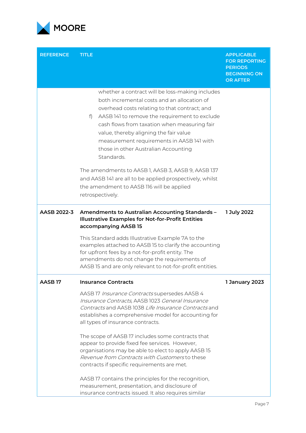

| <b>REFERENCE</b> | <b>TITLE</b>                                                                                                                                                                                                                                                                                                                                                                                       | <b>APPLICABLE</b><br><b>FOR REPORTING</b><br><b>PERIODS</b><br><b>BEGINNING ON</b><br><b>OR AFTER</b> |
|------------------|----------------------------------------------------------------------------------------------------------------------------------------------------------------------------------------------------------------------------------------------------------------------------------------------------------------------------------------------------------------------------------------------------|-------------------------------------------------------------------------------------------------------|
|                  | whether a contract will be loss-making includes<br>both incremental costs and an allocation of<br>overhead costs relating to that contract; and<br>AASB 141 to remove the requirement to exclude<br>f<br>cash flows from taxation when measuring fair<br>value, thereby aligning the fair value<br>measurement requirements in AASB 141 with<br>those in other Australian Accounting<br>Standards. |                                                                                                       |
|                  | The amendments to AASB 1, AASB 3, AASB 9, AASB 137<br>and AASB 141 are all to be applied prospectively, whilst<br>the amendment to AASB 116 will be applied<br>retrospectively.                                                                                                                                                                                                                    |                                                                                                       |
| AASB 2022-3      | Amendments to Australian Accounting Standards -<br><b>Illustrative Examples for Not-for-Profit Entities</b><br>accompanying AASB 15                                                                                                                                                                                                                                                                | 1 July 2022                                                                                           |
|                  | This Standard adds Illustrative Example 7A to the<br>examples attached to AASB 15 to clarify the accounting<br>for upfront fees by a not-for-profit entity. The<br>amendments do not change the requirements of<br>AASB 15 and are only relevant to not-for-profit entities.                                                                                                                       |                                                                                                       |
| <b>AASB17</b>    | <b>Insurance Contracts</b>                                                                                                                                                                                                                                                                                                                                                                         | 1 January 2023                                                                                        |
|                  | AASB 17 Insurance Contracts supersedes AASB 4<br>Insurance Contracts, AASB 1023 General Insurance<br>Contracts and AASB 1038 Life Insurance Contracts and<br>establishes a comprehensive model for accounting for<br>all types of insurance contracts.                                                                                                                                             |                                                                                                       |
|                  | The scope of AASB 17 includes some contracts that<br>appear to provide fixed fee services. However,<br>organisations may be able to elect to apply AASB 15<br>Revenue from Contracts with Customers to these<br>contracts if specific requirements are met.                                                                                                                                        |                                                                                                       |
|                  | AASB 17 contains the principles for the recognition,<br>measurement, presentation, and disclosure of<br>insurance contracts issued. It also requires similar                                                                                                                                                                                                                                       |                                                                                                       |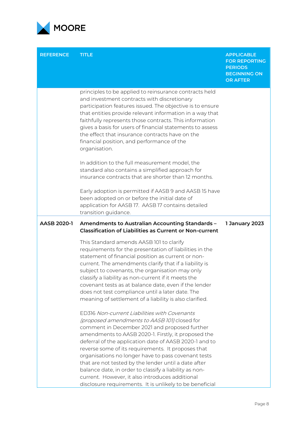

| <b>REFERENCE</b>   | <b>TITLE</b>                                                                                                                                                                                                                                                                                                                                                                                                                                                                                                                                                                                                 | <b>APPLICABLE</b><br><b>FOR REPORTING</b><br><b>PERIODS</b><br><b>BEGINNING ON</b><br><b>OR AFTER</b> |
|--------------------|--------------------------------------------------------------------------------------------------------------------------------------------------------------------------------------------------------------------------------------------------------------------------------------------------------------------------------------------------------------------------------------------------------------------------------------------------------------------------------------------------------------------------------------------------------------------------------------------------------------|-------------------------------------------------------------------------------------------------------|
|                    | principles to be applied to reinsurance contracts held<br>and investment contracts with discretionary<br>participation features issued. The objective is to ensure<br>that entities provide relevant information in a way that<br>faithfully represents those contracts. This information<br>gives a basis for users of financial statements to assess<br>the effect that insurance contracts have on the<br>financial position, and performance of the<br>organisation.                                                                                                                                     |                                                                                                       |
|                    | In addition to the full measurement model, the<br>standard also contains a simplified approach for<br>insurance contracts that are shorter than 12 months.                                                                                                                                                                                                                                                                                                                                                                                                                                                   |                                                                                                       |
|                    | Early adoption is permitted if AASB 9 and AASB 15 have<br>been adopted on or before the initial date of<br>application for AASB 17. AASB 17 contains detailed<br>transition guidance.                                                                                                                                                                                                                                                                                                                                                                                                                        |                                                                                                       |
| <b>AASB 2020-1</b> | Amendments to Australian Accounting Standards -<br><b>Classification of Liabilities as Current or Non-current</b>                                                                                                                                                                                                                                                                                                                                                                                                                                                                                            | 1 January 2023                                                                                        |
|                    | This Standard amends AASB 101 to clarify<br>requirements for the presentation of liabilities in the<br>statement of financial position as current or non-<br>current. The amendments clarify that if a liability is<br>subject to covenants, the organisation may only<br>classify a liability as non-current if it meets the<br>covenant tests as at balance date, even if the lender<br>does not test compliance until a later date. The<br>meaning of settlement of a liability is also clarified.                                                                                                        |                                                                                                       |
|                    | ED316 Non-current Liabilities with Covenants<br>(proposed amendments to AASB 101) closed for<br>comment in December 2021 and proposed further<br>amendments to AASB 2020-1. Firstly, it proposed the<br>deferral of the application date of AASB 2020-1 and to<br>reverse some of its requirements. It proposes that<br>organisations no longer have to pass covenant tests<br>that are not tested by the lender until a date after<br>balance date, in order to classify a liability as non-<br>current. However, it also introduces additional<br>disclosure requirements. It is unlikely to be beneficial |                                                                                                       |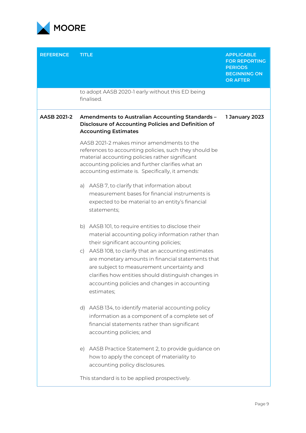

| <b>REFERENCE</b>   | <b>TITLE</b>                                                                                                                                                                                                                                                                   | <b>APPLICABLE</b><br><b>FOR REPORTING</b><br><b>PERIODS</b><br><b>BEGINNING ON</b><br><b>OR AFTER</b> |
|--------------------|--------------------------------------------------------------------------------------------------------------------------------------------------------------------------------------------------------------------------------------------------------------------------------|-------------------------------------------------------------------------------------------------------|
|                    | to adopt AASB 2020-1 early without this ED being<br>finalised.                                                                                                                                                                                                                 |                                                                                                       |
| <b>AASB 2021-2</b> | Amendments to Australian Accounting Standards -<br><b>Disclosure of Accounting Policies and Definition of</b><br><b>Accounting Estimates</b>                                                                                                                                   | 1 January 2023                                                                                        |
|                    | AASB 2021-2 makes minor amendments to the<br>references to accounting policies, such they should be<br>material accounting policies rather significant<br>accounting policies and further clarifies what an<br>accounting estimate is. Specifically, it amends:                |                                                                                                       |
|                    | AASB 7, to clarify that information about<br>a)<br>measurement bases for financial instruments is<br>expected to be material to an entity's financial<br>statements;                                                                                                           |                                                                                                       |
|                    | b) AASB 101, to require entities to disclose their<br>material accounting policy information rather than<br>their significant accounting policies;                                                                                                                             |                                                                                                       |
|                    | c) AASB 108, to clarify that an accounting estimates<br>are monetary amounts in financial statements that<br>are subject to measurement uncertainty and<br>clarifies how entities should distinguish changes in<br>accounting policies and changes in accounting<br>estimates; |                                                                                                       |
|                    | AASB 134, to identify material accounting policy<br>$\mathsf{d}$<br>information as a component of a complete set of<br>financial statements rather than significant<br>accounting policies; and                                                                                |                                                                                                       |
|                    | AASB Practice Statement 2, to provide guidance on<br>$\epsilon$<br>how to apply the concept of materiality to<br>accounting policy disclosures.                                                                                                                                |                                                                                                       |
|                    | This standard is to be applied prospectively.                                                                                                                                                                                                                                  |                                                                                                       |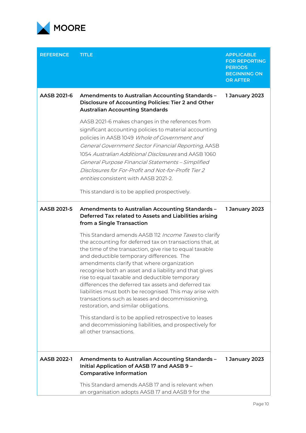

| <b>REFERENCE</b> | <b>TITLE</b>                                                                                                                                                                                                                                                                                                                                                                                                                                                                                                                                                                                                                                                                                                             | <b>APPLICABLE</b><br><b>FOR REPORTING</b><br><b>PERIODS</b><br><b>BEGINNING ON</b><br><b>OR AFTER</b> |
|------------------|--------------------------------------------------------------------------------------------------------------------------------------------------------------------------------------------------------------------------------------------------------------------------------------------------------------------------------------------------------------------------------------------------------------------------------------------------------------------------------------------------------------------------------------------------------------------------------------------------------------------------------------------------------------------------------------------------------------------------|-------------------------------------------------------------------------------------------------------|
| AASB 2021-6      | Amendments to Australian Accounting Standards -<br>Disclosure of Accounting Policies: Tier 2 and Other<br><b>Australian Accounting Standards</b>                                                                                                                                                                                                                                                                                                                                                                                                                                                                                                                                                                         | 1 January 2023                                                                                        |
|                  | AASB 2021-6 makes changes in the references from<br>significant accounting policies to material accounting<br>policies in AASB 1049 Whole of Government and<br>General Government Sector Financial Reporting, AASB<br>1054 Australian Additional Disclosures and AASB 1060<br>General Purpose Financial Statements - Simplified<br>Disclosures for For-Profit and Not-for-Profit Tier 2<br>entities consistent with AASB 2021-2.<br>This standard is to be applied prospectively.                                                                                                                                                                                                                                        |                                                                                                       |
| AASB 2021-5      | Amendments to Australian Accounting Standards -<br>Deferred Tax related to Assets and Liabilities arising<br>from a Single Transaction                                                                                                                                                                                                                                                                                                                                                                                                                                                                                                                                                                                   | 1 January 2023                                                                                        |
|                  | This Standard amends AASB 112 Income Taxes to clarify<br>the accounting for deferred tax on transactions that, at<br>the time of the transaction, give rise to equal taxable<br>and deductible temporary differences. The<br>amendments clarify that where organization<br>recognise both an asset and a liability and that gives<br>rise to equal taxable and deductible temporary<br>differences the deferred tax assets and deferred tax<br>liabilities must both be recognised. This may arise with<br>transactions such as leases and decommissioning,<br>restoration, and similar obligations.<br>This standard is to be applied retrospective to leases<br>and decommissioning liabilities, and prospectively for |                                                                                                       |
|                  | all other transactions.                                                                                                                                                                                                                                                                                                                                                                                                                                                                                                                                                                                                                                                                                                  |                                                                                                       |
| AASB 2022-1      | Amendments to Australian Accounting Standards -<br>Initial Application of AASB 17 and AASB 9 -<br><b>Comparative Information</b>                                                                                                                                                                                                                                                                                                                                                                                                                                                                                                                                                                                         | 1 January 2023                                                                                        |
|                  | This Standard amends AASB 17 and is relevant when<br>an organisation adopts AASB 17 and AASB 9 for the                                                                                                                                                                                                                                                                                                                                                                                                                                                                                                                                                                                                                   |                                                                                                       |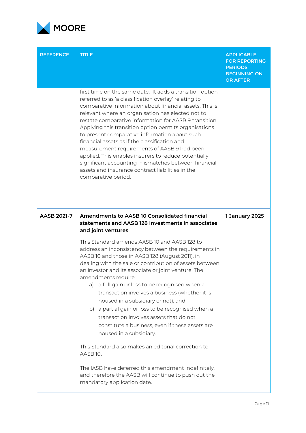

| <b>REFERENCE</b> | <b>TITLE</b>                                                                                                                                                                                                                                                                                                                                                                                                                                                                                                                                                                                                                                                                                    | <b>APPLICABLE</b><br><b>FOR REPORTING</b><br><b>PERIODS</b><br><b>BEGINNING ON</b><br><b>OR AFTER</b> |
|------------------|-------------------------------------------------------------------------------------------------------------------------------------------------------------------------------------------------------------------------------------------------------------------------------------------------------------------------------------------------------------------------------------------------------------------------------------------------------------------------------------------------------------------------------------------------------------------------------------------------------------------------------------------------------------------------------------------------|-------------------------------------------------------------------------------------------------------|
|                  | first time on the same date. It adds a transition option<br>referred to as 'a classification overlay' relating to<br>comparative information about financial assets. This is<br>relevant where an organisation has elected not to<br>restate comparative information for AASB 9 transition.<br>Applying this transition option permits organisations<br>to present comparative information about such<br>financial assets as if the classification and<br>measurement requirements of AASB 9 had been<br>applied. This enables insurers to reduce potentially<br>significant accounting mismatches between financial<br>assets and insurance contract liabilities in the<br>comparative period. |                                                                                                       |
| AASB 2021-7      | Amendments to AASB 10 Consolidated financial<br>statements and AASB 128 Investments in associates<br>and joint ventures                                                                                                                                                                                                                                                                                                                                                                                                                                                                                                                                                                         | 1 January 2025                                                                                        |
|                  | This Standard amends AASB 10 and AASB 128 to<br>address an inconsistency between the requirements in<br>AASB 10 and those in AASB 128 (August 2011), in<br>dealing with the sale or contribution of assets between<br>an investor and its associate or joint venture. The<br>amendments require:<br>a) a full gain or loss to be recognised when a<br>transaction involves a business (whether it is<br>housed in a subsidiary or not); and<br>b) a partial gain or loss to be recognised when a<br>transaction involves assets that do not<br>constitute a business, even if these assets are<br>housed in a subsidiary.<br>This Standard also makes an editorial correction to<br>AASB 10.    |                                                                                                       |
|                  | The IASB have deferred this amendment indefinitely,<br>and therefore the AASB will continue to push out the<br>mandatory application date.                                                                                                                                                                                                                                                                                                                                                                                                                                                                                                                                                      |                                                                                                       |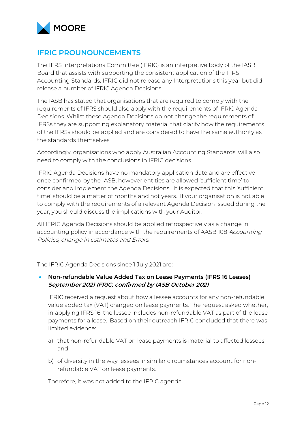

## **IFRIC PROUNOUNCEMENTS**

The IFRS Interpretations Committee (IFRIC) is an interpretive body of the IASB Board that assists with supporting the consistent application of the IFRS Accounting Standards. IFRIC did not release any Interpretations this year but did release a number of IFRIC Agenda Decisions.

The IASB has stated that organisations that are required to comply with the requirements of IFRS should also apply with the requirements of IFRIC Agenda Decisions. Whilst these Agenda Decisions do not change the requirements of IFRSs they are supporting explanatory material that clarify how the requirements of the IFRSs should be applied and are considered to have the same authority as the standards themselves.

Accordingly, organisations who apply Australian Accounting Standards, will also need to comply with the conclusions in IFRIC decisions.

IFRIC Agenda Decisions have no mandatory application date and are effective once confirmed by the IASB, however entities are allowed 'sufficient time' to consider and implement the Agenda Decisions. It is expected that this 'sufficient time' should be a matter of months and not years. If your organisation is not able to comply with the requirements of a relevant Agenda Decision issued during the year, you should discuss the implications with your Auditor.

All IFRIC Agenda Decisions should be applied retrospectively as a change in accounting policy in accordance with the requirements of AASB 108 Accounting Policies, change in estimates and Errors.

The IFRIC Agenda Decisions since 1 July 2021 are:

#### • **Non-refundable Value Added Tax on Lease Payments (IFRS 16 Leases) September 2021 IFRIC, confirmed by IASB October 2021**

IFRIC received a request about how a lessee accounts for any non-refundable value added tax (VAT) charged on lease payments. The request asked whether, in applying IFRS 16, the lessee includes non-refundable VAT as part of the lease payments for a lease. Based on their outreach IFRIC concluded that there was limited evidence:

- a) that non-refundable VAT on lease payments is material to affected lessees; and
- b) of diversity in the way lessees in similar circumstances account for nonrefundable VAT on lease payments.

Therefore, it was not added to the IFRIC agenda.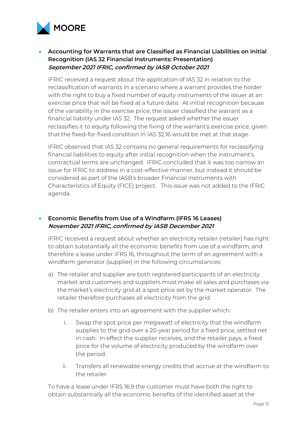

## • **Accounting for Warrants that are Classified as Financial Liabilities on Initial Recognition (IAS 32 Financial Instruments: Presentation) September 2021 IFRIC, confirmed by IASB October 2021**

IFRIC received a request about the application of IAS 32 in relation to the reclassification of warrants in a scenario where a warrant provides the holder with the right to buy a fixed number of equity instruments of the issuer at an exercise price that will be fixed at a future date. At initial recognition because of the variability in the exercise price, the issuer classified the warrant as a financial liability under IAS 32. The request asked whether the issuer reclassifies it to equity following the fixing of the warrant's exercise price, given that the fixed-for-fixed condition in IAS 32.16 would be met at that stage.

IFRIC observed that IAS 32 contains no general requirements for reclassifying financial liabilities to equity after initial recognition when the instrument's contractual terms are unchanged. IFRIC concluded that it was too narrow an issue for IFRIC to address in a cost-effective manner, but instead it should be considered as part of the IASB's broader Financial Instruments with Characteristics of Equity (FICE) project. This issue was not added to the IFRIC agenda.

#### • **Economic Benefits from Use of a Windfarm (IFRS 16 Leases) November 2021 IFRIC, confirmed by IASB December 2021**

IFRIC received a request about whether an electricity retailer (retailer) has right to obtain substantially all the economic benefits from use of a windfarm, and therefore a lease under IFRS 16, throughout the term of an agreement with a windfarm generator (supplier) in the following circumstances:

- a) The retailer and supplier are both registered participants of an electricity market and customers and suppliers must make all sales and purchases via the market's electricity grid at a spot price set by the market operator. The retailer therefore purchases all electricity from the grid.
- b) The retailer enters into an agreement with the supplier which:
	- i. Swap the spot price per megawatt of electricity that the windfarm supplies to the grid over a 20-year period for a fixed price, settled net in cash. In effect the supplier receives, and the retailer pays, a fixed price for the volume of electricity produced by the windfarm over the period.
	- ii. Transfers all renewable energy credits that accrue at the windfarm to the retailer.

To have a lease under IFRS 16.9 the customer must have both the right to obtain substantially all the economic benefits of the identified asset at the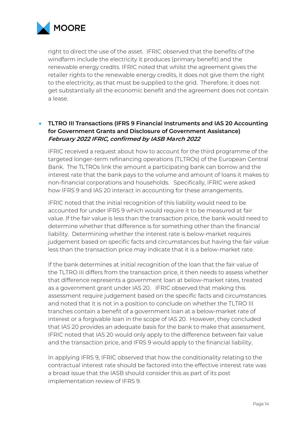

right to direct the use of the asset. IFRIC observed that the benefits of the windfarm include the electricity it produces (primary benefit) and the renewable energy credits. IFRIC noted that whilst the agreement gives the retailer rights to the renewable energy credits, it does not give them the right to the electricity, as that must be supplied to the grid. Therefore, it does not get substantially all the economic benefit and the agreement does not contain a lease.

## • **TLTRO III Transactions (IFRS 9 Financial Instruments and IAS 20 Accounting for Government Grants and Disclosure of Government Assistance) February 2022 IFRIC, confirmed by IASB March 2022**

IFRIC received a request about how to account for the third programme of the targeted longer-term refinancing operations (TLTROs) of the European Central Bank. The TLTROs link the amount a participating bank can borrow and the interest rate that the bank pays to the volume and amount of loans it makes to non-financial corporations and households. Specifically, IFRIC were asked how IFRS 9 and IAS 20 interact in accounting for these arrangements.

IFRIC noted that the initial recognition of this liability would need to be accounted for under IFRS 9 which would require it to be measured at fair value. If the fair value is less than the transaction price, the bank would need to determine whether that difference is for something other than the financial liability. Determining whether the interest rate is below-market requires judgement based on specific facts and circumstances but having the fair value less than the transaction price may indicate that it is a below-market rate.

If the bank determines at initial recognition of the loan that the fair value of the TLTRO III differs from the transaction price, it then needs to assess whether that difference represents a government loan at below-market rates, treated as a government grant under IAS 20. IFRIC observed that making this assessment require judgement based on the specific facts and circumstances and noted that it is not in a position to conclude on whether the TLTRO III tranches contain a benefit of a government loan at a below-market rate of interest or a forgivable loan in the scope of IAS 20. However, they concluded that IAS 20 provides an adequate basis for the bank to make that assessment. IFRIC noted that IAS 20 would only apply to the difference between fair value and the transaction price, and IFRS 9 would apply to the financial liability.

In applying IFRS 9, IFRIC observed that how the conditionality relating to the contractual interest rate should be factored into the effective interest rate was a broad issue that the IASB should consider this as part of its post implementation review of IFRS 9.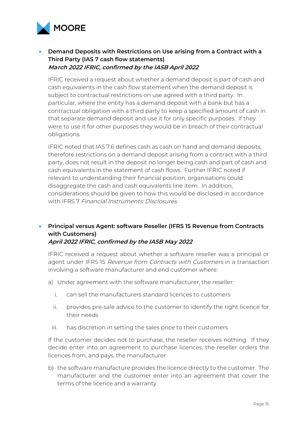

## • **Demand Deposits with Restrictions on Use arising from a Contract with a Third Party (IAS 7 cash flow statements) March 2022 IFRIC, confirmed by the IASB April 2022**

IFRIC received a request about whether a demand deposit is part of cash and cash equivalents in the cash flow statement when the demand deposit is subject to contractual restrictions on use agreed with a third party. In particular, where the entity has a demand deposit with a bank but has a contractual obligation with a third party to keep a specified amount of cash in that separate demand deposit and use it for only specific purposes. If they were to use it for other purposes they would be in breach of their contractual obligations.

IFRIC noted that IAS 7.6 defines cash as cash on hand and demand deposits, therefore restrictions on a demand deposit arising from a contract with a third party, does not result in the deposit no longer being cash and part of cash and cash equivalents in the statement of cash flows. Further IFRIC noted if relevant to understanding their financial position, organisations could disaggregate the cash and cash equivalents line item. In addition, considerations should be given to how this would be disclosed in accordance with IFRS 7 Financial Instruments: Disclosures

# • **Principal versus Agent: software Reseller (IFRS 15 Revenue from Contracts with Customers)**

#### **April 2022 IFRIC, confirmed by the IASB May 2022**

IFRIC received a request about whether a software reseller was a principal or agent under IFRS 15 Revenue from Contracts with Customers in a transaction involving a software manufacturer and end customer where:

- a) Under agreement with the software manufacturer, the reseller:
	- i. can sell the manufacturers standard licences to customers
	- ii. provides pre-sale advice to the customer to identify the right licence for their needs
	- iii. has discretion in setting the sales price to their customers

If the customer decides not to purchase, the reseller receives nothing. If they decide enter into an agreement to purchase licences, the reseller orders the licences from, and pays, the manufacturer

b) the software manufacture provides the licence directly to the customer. The manufacturer and the customer enter into an agreement that cover the terms of the licence and a warranty.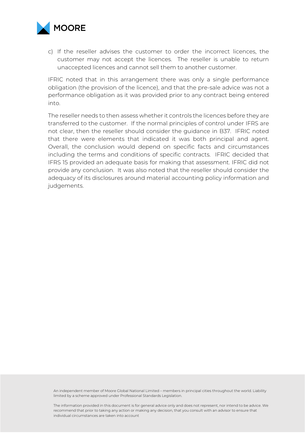

c) If the reseller advises the customer to order the incorrect licences, the customer may not accept the licences. The reseller is unable to return unaccepted licences and cannot sell them to another customer.

IFRIC noted that in this arrangement there was only a single performance obligation (the provision of the licence), and that the pre-sale advice was not a performance obligation as it was provided prior to any contract being entered into.

The reseller needs to then assess whether it controls the licences before they are transferred to the customer. If the normal principles of control under IFRS are not clear, then the reseller should consider the guidance in B37. IFRIC noted that there were elements that indicated it was both principal and agent. Overall, the conclusion would depend on specific facts and circumstances including the terms and conditions of specific contracts. IFRIC decided that IFRS 15 provided an adequate basis for making that assessment. IFRIC did not provide any conclusion. It was also noted that the reseller should consider the adequacy of its disclosures around material accounting policy information and judgements.

An independent member of Moore Global National Limited – members in principal cities throughout the world. Liability limited by a scheme approved under Professional Standards Legislation.